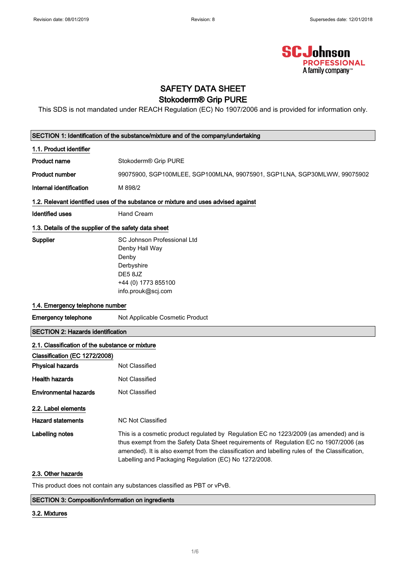

### SAFETY DATA SHEET Stokoderm® Grip PURE

This SDS is not mandated under REACH Regulation (EC) No 1907/2006 and is provided for information only.

| SECTION 1: Identification of the substance/mixture and of the company/undertaking  |                                                                                                                                                                                                                                                                                                                                            |  |  |  |
|------------------------------------------------------------------------------------|--------------------------------------------------------------------------------------------------------------------------------------------------------------------------------------------------------------------------------------------------------------------------------------------------------------------------------------------|--|--|--|
| 1.1. Product identifier                                                            |                                                                                                                                                                                                                                                                                                                                            |  |  |  |
| <b>Product name</b>                                                                | Stokoderm® Grip PURE                                                                                                                                                                                                                                                                                                                       |  |  |  |
| <b>Product number</b>                                                              | 99075900, SGP100MLEE, SGP100MLNA, 99075901, SGP1LNA, SGP30MLWW, 99075902                                                                                                                                                                                                                                                                   |  |  |  |
| Internal identification                                                            | M 898/2                                                                                                                                                                                                                                                                                                                                    |  |  |  |
| 1.2. Relevant identified uses of the substance or mixture and uses advised against |                                                                                                                                                                                                                                                                                                                                            |  |  |  |
| <b>Identified uses</b>                                                             | Hand Cream                                                                                                                                                                                                                                                                                                                                 |  |  |  |
| 1.3. Details of the supplier of the safety data sheet                              |                                                                                                                                                                                                                                                                                                                                            |  |  |  |
| Supplier                                                                           | <b>SC Johnson Professional Ltd</b><br>Denby Hall Way<br>Denby<br>Derbyshire<br>DE58JZ<br>+44 (0) 1773 855100<br>info.prouk@scj.com                                                                                                                                                                                                         |  |  |  |
| 1.4. Emergency telephone number                                                    |                                                                                                                                                                                                                                                                                                                                            |  |  |  |
| <b>Emergency telephone</b>                                                         | Not Applicable Cosmetic Product                                                                                                                                                                                                                                                                                                            |  |  |  |
| <b>SECTION 2: Hazards identification</b>                                           |                                                                                                                                                                                                                                                                                                                                            |  |  |  |
| 2.1. Classification of the substance or mixture                                    |                                                                                                                                                                                                                                                                                                                                            |  |  |  |
| Classification (EC 1272/2008)                                                      |                                                                                                                                                                                                                                                                                                                                            |  |  |  |
| <b>Physical hazards</b>                                                            | <b>Not Classified</b>                                                                                                                                                                                                                                                                                                                      |  |  |  |
| <b>Health hazards</b>                                                              | Not Classified                                                                                                                                                                                                                                                                                                                             |  |  |  |
| <b>Environmental hazards</b>                                                       | Not Classified                                                                                                                                                                                                                                                                                                                             |  |  |  |
| 2.2. Label elements                                                                |                                                                                                                                                                                                                                                                                                                                            |  |  |  |
| <b>Hazard statements</b>                                                           | <b>NC Not Classified</b>                                                                                                                                                                                                                                                                                                                   |  |  |  |
| Labelling notes                                                                    | This is a cosmetic product regulated by Regulation EC no 1223/2009 (as amended) and is<br>thus exempt from the Safety Data Sheet requirements of Regulation EC no 1907/2006 (as<br>amended). It is also exempt from the classification and labelling rules of the Classification,<br>Labelling and Packaging Regulation (EC) No 1272/2008. |  |  |  |
| 2.3. Other hazards                                                                 |                                                                                                                                                                                                                                                                                                                                            |  |  |  |
|                                                                                    |                                                                                                                                                                                                                                                                                                                                            |  |  |  |

This product does not contain any substances classified as PBT or vPvB.

#### SECTION 3: Composition/information on ingredients

#### 3.2. Mixtures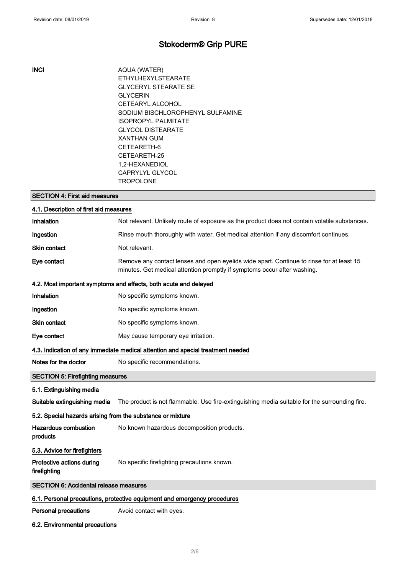### Stokoderm® Grip PURE

INCI AQUA (WATER) ETHYLHEXYLSTEARATE GLYCERYL STEARATE SE GLYCERIN CETEARYL ALCOHOL SODIUM BISCHLOROPHENYL SULFAMINE ISOPROPYL PALMITATE GLYCOL DISTEARATE XANTHAN GUM CETEARETH-6 CETEARETH-25 1,2-HEXANEDIOL CAPRYLYL GLYCOL TROPOLONE

| <b>SECTION 4: First aid measures</b>                                     |                                                                                                                                                                      |  |  |
|--------------------------------------------------------------------------|----------------------------------------------------------------------------------------------------------------------------------------------------------------------|--|--|
| 4.1. Description of first aid measures                                   |                                                                                                                                                                      |  |  |
| Inhalation                                                               | Not relevant. Unlikely route of exposure as the product does not contain volatile substances.                                                                        |  |  |
| Ingestion                                                                | Rinse mouth thoroughly with water. Get medical attention if any discomfort continues.                                                                                |  |  |
| Skin contact                                                             | Not relevant.                                                                                                                                                        |  |  |
| Eye contact                                                              | Remove any contact lenses and open eyelids wide apart. Continue to rinse for at least 15<br>minutes. Get medical attention promptly if symptoms occur after washing. |  |  |
| 4.2. Most important symptoms and effects, both acute and delayed         |                                                                                                                                                                      |  |  |
| Inhalation                                                               | No specific symptoms known.                                                                                                                                          |  |  |
| Ingestion                                                                | No specific symptoms known.                                                                                                                                          |  |  |
| Skin contact                                                             | No specific symptoms known.                                                                                                                                          |  |  |
| Eye contact                                                              | May cause temporary eye irritation.                                                                                                                                  |  |  |
|                                                                          | 4.3. Indication of any immediate medical attention and special treatment needed                                                                                      |  |  |
| Notes for the doctor                                                     | No specific recommendations.                                                                                                                                         |  |  |
| <b>SECTION 5: Firefighting measures</b>                                  |                                                                                                                                                                      |  |  |
| 5.1. Extinguishing media                                                 |                                                                                                                                                                      |  |  |
| Suitable extinguishing media                                             | The product is not flammable. Use fire-extinguishing media suitable for the surrounding fire.                                                                        |  |  |
| 5.2. Special hazards arising from the substance or mixture               |                                                                                                                                                                      |  |  |
| <b>Hazardous combustion</b><br>products                                  | No known hazardous decomposition products.                                                                                                                           |  |  |
| 5.3. Advice for firefighters                                             |                                                                                                                                                                      |  |  |
| Protective actions during<br>firefighting                                | No specific firefighting precautions known.                                                                                                                          |  |  |
| <b>SECTION 6: Accidental release measures</b>                            |                                                                                                                                                                      |  |  |
| 6.1. Personal precautions, protective equipment and emergency procedures |                                                                                                                                                                      |  |  |
| <b>Personal precautions</b>                                              | Avoid contact with eyes.                                                                                                                                             |  |  |

### 6.2. Environmental precautions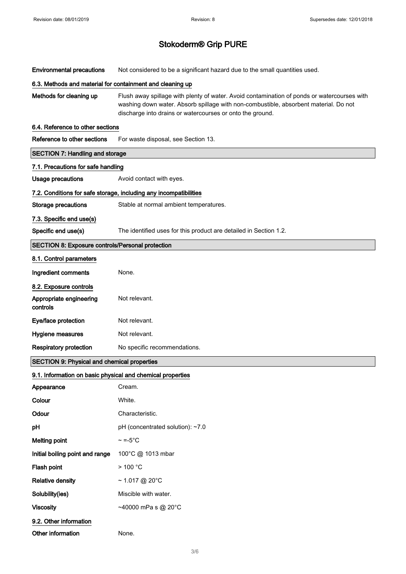Environmental precautions Not considered to be a significant hazard due to the small quantities used.

#### 6.3. Methods and material for containment and cleaning up

Methods for cleaning up Flush away spillage with plenty of water. Avoid contamination of ponds or watercourses with washing down water. Absorb spillage with non-combustible, absorbent material. Do not discharge into drains or watercourses or onto the ground.

#### 6.4. Reference to other sections

| Reference to other sections                                | For waste disposal, see Section 13.                               |  |  |  |
|------------------------------------------------------------|-------------------------------------------------------------------|--|--|--|
| <b>SECTION 7: Handling and storage</b>                     |                                                                   |  |  |  |
| 7.1. Precautions for safe handling                         |                                                                   |  |  |  |
| <b>Usage precautions</b>                                   | Avoid contact with eyes.                                          |  |  |  |
|                                                            | 7.2. Conditions for safe storage, including any incompatibilities |  |  |  |
| Storage precautions                                        | Stable at normal ambient temperatures.                            |  |  |  |
| 7.3. Specific end use(s)                                   |                                                                   |  |  |  |
| Specific end use(s)                                        | The identified uses for this product are detailed in Section 1.2. |  |  |  |
| <b>SECTION 8: Exposure controls/Personal protection</b>    |                                                                   |  |  |  |
| 8.1. Control parameters                                    |                                                                   |  |  |  |
| Ingredient comments                                        | None.                                                             |  |  |  |
| 8.2. Exposure controls                                     |                                                                   |  |  |  |
| Appropriate engineering<br>controls                        | Not relevant.                                                     |  |  |  |
| Eye/face protection                                        | Not relevant.                                                     |  |  |  |
| Hygiene measures                                           | Not relevant.                                                     |  |  |  |
| <b>Respiratory protection</b>                              | No specific recommendations.                                      |  |  |  |
| <b>SECTION 9: Physical and chemical properties</b>         |                                                                   |  |  |  |
| 9.1. Information on basic physical and chemical properties |                                                                   |  |  |  |
| Appearance                                                 | Cream.                                                            |  |  |  |
| Colour                                                     | White.                                                            |  |  |  |
| Odour                                                      | Characteristic.                                                   |  |  |  |
| pH                                                         | pH (concentrated solution): ~7.0                                  |  |  |  |
| <b>Melting point</b>                                       | $\sim$ =-5°C.                                                     |  |  |  |
| Initial boiling point and range                            | 100°C @ 1013 mbar                                                 |  |  |  |
| Flash point                                                | > 100 °C                                                          |  |  |  |
| <b>Relative density</b>                                    | $\sim$ 1.017 @ 20°C                                               |  |  |  |
| Solubility(ies)                                            | Miscible with water.                                              |  |  |  |
| <b>Viscosity</b>                                           | ~40000 mPa s @ 20°C                                               |  |  |  |
| 9.2. Other information                                     |                                                                   |  |  |  |
| Other information                                          | None.                                                             |  |  |  |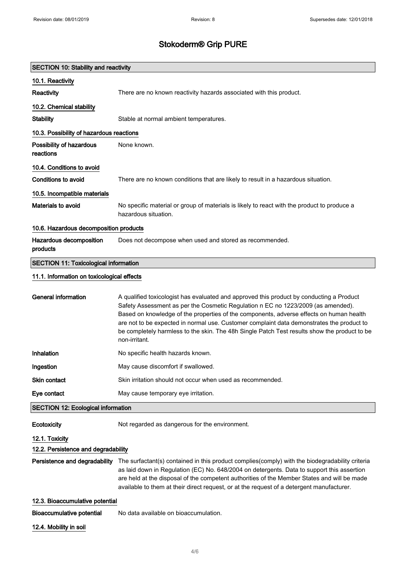| <b>SECTION 10: Stability and reactivity</b>  |                                                                                                                                                                                                                                                                                                                                                                                                                                                                                       |  |  |  |
|----------------------------------------------|---------------------------------------------------------------------------------------------------------------------------------------------------------------------------------------------------------------------------------------------------------------------------------------------------------------------------------------------------------------------------------------------------------------------------------------------------------------------------------------|--|--|--|
| 10.1. Reactivity                             |                                                                                                                                                                                                                                                                                                                                                                                                                                                                                       |  |  |  |
| Reactivity                                   | There are no known reactivity hazards associated with this product.                                                                                                                                                                                                                                                                                                                                                                                                                   |  |  |  |
| 10.2. Chemical stability                     |                                                                                                                                                                                                                                                                                                                                                                                                                                                                                       |  |  |  |
| <b>Stability</b>                             | Stable at normal ambient temperatures.                                                                                                                                                                                                                                                                                                                                                                                                                                                |  |  |  |
| 10.3. Possibility of hazardous reactions     |                                                                                                                                                                                                                                                                                                                                                                                                                                                                                       |  |  |  |
| Possibility of hazardous<br>reactions        | None known.                                                                                                                                                                                                                                                                                                                                                                                                                                                                           |  |  |  |
| 10.4. Conditions to avoid                    |                                                                                                                                                                                                                                                                                                                                                                                                                                                                                       |  |  |  |
| <b>Conditions to avoid</b>                   | There are no known conditions that are likely to result in a hazardous situation.                                                                                                                                                                                                                                                                                                                                                                                                     |  |  |  |
| 10.5. Incompatible materials                 |                                                                                                                                                                                                                                                                                                                                                                                                                                                                                       |  |  |  |
| Materials to avoid                           | No specific material or group of materials is likely to react with the product to produce a<br>hazardous situation.                                                                                                                                                                                                                                                                                                                                                                   |  |  |  |
| 10.6. Hazardous decomposition products       |                                                                                                                                                                                                                                                                                                                                                                                                                                                                                       |  |  |  |
| Hazardous decomposition<br>products          | Does not decompose when used and stored as recommended.                                                                                                                                                                                                                                                                                                                                                                                                                               |  |  |  |
| <b>SECTION 11: Toxicological information</b> |                                                                                                                                                                                                                                                                                                                                                                                                                                                                                       |  |  |  |
| 11.1. Information on toxicological effects   |                                                                                                                                                                                                                                                                                                                                                                                                                                                                                       |  |  |  |
| <b>General information</b>                   | A qualified toxicologist has evaluated and approved this product by conducting a Product<br>Safety Assessment as per the Cosmetic Regulation n EC no 1223/2009 (as amended).<br>Based on knowledge of the properties of the components, adverse effects on human health<br>are not to be expected in normal use. Customer complaint data demonstrates the product to<br>be completely harmless to the skin. The 48h Single Patch Test results show the product to be<br>non-irritant. |  |  |  |
| Inhalation                                   | No specific health hazards known.                                                                                                                                                                                                                                                                                                                                                                                                                                                     |  |  |  |
| Ingestion                                    | May cause discomfort if swallowed.                                                                                                                                                                                                                                                                                                                                                                                                                                                    |  |  |  |
| <b>Skin contact</b>                          | Skin irritation should not occur when used as recommended.                                                                                                                                                                                                                                                                                                                                                                                                                            |  |  |  |
| Eye contact                                  | May cause temporary eye irritation.                                                                                                                                                                                                                                                                                                                                                                                                                                                   |  |  |  |
| <b>SECTION 12: Ecological information</b>    |                                                                                                                                                                                                                                                                                                                                                                                                                                                                                       |  |  |  |
| Ecotoxicity                                  | Not regarded as dangerous for the environment.                                                                                                                                                                                                                                                                                                                                                                                                                                        |  |  |  |
| 12.1. Toxicity                               |                                                                                                                                                                                                                                                                                                                                                                                                                                                                                       |  |  |  |
| 12.2. Persistence and degradability          |                                                                                                                                                                                                                                                                                                                                                                                                                                                                                       |  |  |  |
|                                              | Persistence and degradability The surfactant(s) contained in this product complies(comply) with the biodegradability criteria<br>as laid down in Regulation (EC) No. 648/2004 on detergents. Data to support this assertion<br>are held at the disposal of the competent authorities of the Member States and will be made<br>available to them at their direct request, or at the request of a detergent manufacturer.                                                               |  |  |  |
| 12.3. Bioaccumulative potential              |                                                                                                                                                                                                                                                                                                                                                                                                                                                                                       |  |  |  |
| Bioaccumulative potential                    | No data available on bioaccumulation.                                                                                                                                                                                                                                                                                                                                                                                                                                                 |  |  |  |
| 12.4. Mobility in soil                       |                                                                                                                                                                                                                                                                                                                                                                                                                                                                                       |  |  |  |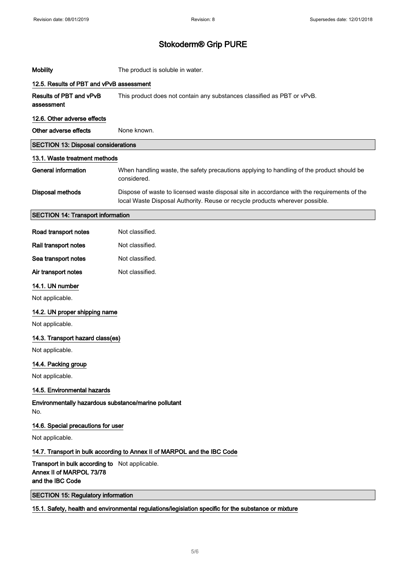| <b>Mobility</b>                                                                                | The product is soluble in water.                                                                                                                                            |  |  |  |
|------------------------------------------------------------------------------------------------|-----------------------------------------------------------------------------------------------------------------------------------------------------------------------------|--|--|--|
| 12.5. Results of PBT and vPvB assessment                                                       |                                                                                                                                                                             |  |  |  |
| Results of PBT and vPvB<br>assessment                                                          | This product does not contain any substances classified as PBT or vPvB.                                                                                                     |  |  |  |
| 12.6. Other adverse effects                                                                    |                                                                                                                                                                             |  |  |  |
| Other adverse effects                                                                          | None known.                                                                                                                                                                 |  |  |  |
| <b>SECTION 13: Disposal considerations</b>                                                     |                                                                                                                                                                             |  |  |  |
| 13.1. Waste treatment methods                                                                  |                                                                                                                                                                             |  |  |  |
| <b>General information</b>                                                                     | When handling waste, the safety precautions applying to handling of the product should be<br>considered.                                                                    |  |  |  |
| Disposal methods                                                                               | Dispose of waste to licensed waste disposal site in accordance with the requirements of the<br>local Waste Disposal Authority. Reuse or recycle products wherever possible. |  |  |  |
| <b>SECTION 14: Transport information</b>                                                       |                                                                                                                                                                             |  |  |  |
| Road transport notes                                                                           | Not classified.                                                                                                                                                             |  |  |  |
| Rail transport notes                                                                           | Not classified.                                                                                                                                                             |  |  |  |
| Sea transport notes                                                                            | Not classified.                                                                                                                                                             |  |  |  |
| Air transport notes                                                                            | Not classified.                                                                                                                                                             |  |  |  |
| 14.1. UN number                                                                                |                                                                                                                                                                             |  |  |  |
| Not applicable.                                                                                |                                                                                                                                                                             |  |  |  |
| 14.2. UN proper shipping name                                                                  |                                                                                                                                                                             |  |  |  |
| Not applicable.                                                                                |                                                                                                                                                                             |  |  |  |
| 14.3. Transport hazard class(es)                                                               |                                                                                                                                                                             |  |  |  |
| Not applicable.                                                                                |                                                                                                                                                                             |  |  |  |
| 14.4. Packing group                                                                            |                                                                                                                                                                             |  |  |  |
| Not applicable.                                                                                |                                                                                                                                                                             |  |  |  |
| 14.5. Environmental hazards                                                                    |                                                                                                                                                                             |  |  |  |
| Environmentally hazardous substance/marine pollutant<br>No.                                    |                                                                                                                                                                             |  |  |  |
| 14.6. Special precautions for user                                                             |                                                                                                                                                                             |  |  |  |
| Not applicable.                                                                                |                                                                                                                                                                             |  |  |  |
| 14.7. Transport in bulk according to Annex II of MARPOL and the IBC Code                       |                                                                                                                                                                             |  |  |  |
| Transport in bulk according to Not applicable.<br>Annex II of MARPOL 73/78<br>and the IBC Code |                                                                                                                                                                             |  |  |  |
| <b>SECTION 15: Regulatory information</b>                                                      |                                                                                                                                                                             |  |  |  |
|                                                                                                | 15.1. Safety, health and environmental regulations/legislation specific for the substance or mixture                                                                        |  |  |  |